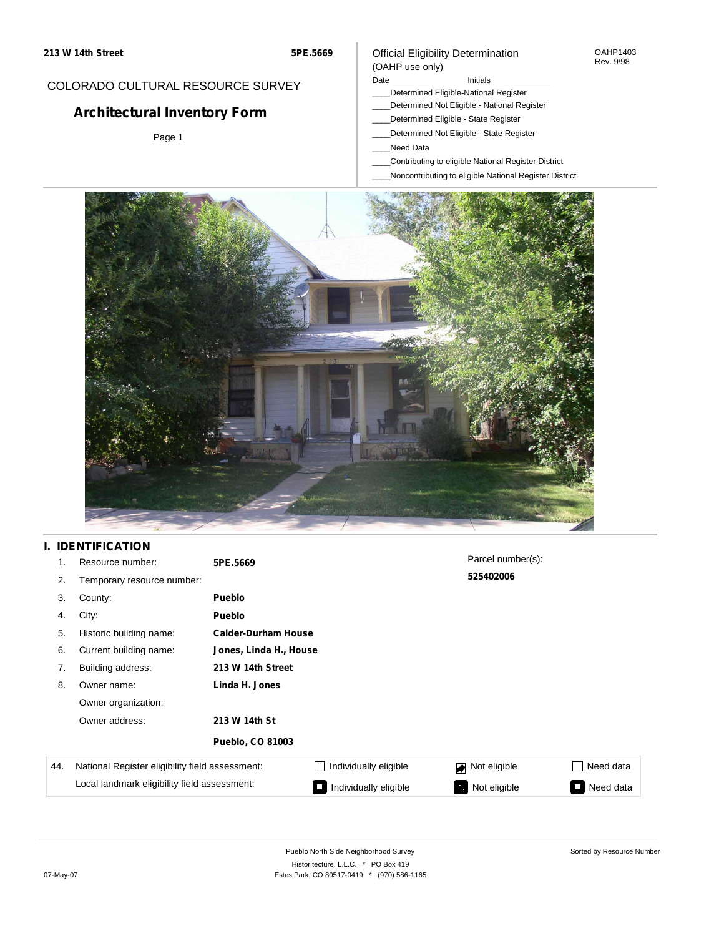## COLORADO CULTURAL RESOURCE SURVEY

# **Architectural Inventory Form**

Page 1

#### Official Eligibility Determination (OAHP use only)

Date **Initials** Initials

- \_\_\_\_Determined Eligible-National Register
- \_\_\_\_Determined Not Eligible National Register
- \_\_\_\_Determined Eligible State Register
- \_\_\_\_Determined Not Eligible State Register
- \_\_\_\_Need Data
- \_\_\_\_Contributing to eligible National Register District
- \_\_\_\_Noncontributing to eligible National Register District



## **I. IDENTIFICATION**

| 1.  | Resource number:                                | 5PE.5669                |                            | Parcel number(s): |                             |
|-----|-------------------------------------------------|-------------------------|----------------------------|-------------------|-----------------------------|
| 2.  | Temporary resource number:                      |                         |                            | 525402006         |                             |
| 3.  | County:                                         | <b>Pueblo</b>           |                            |                   |                             |
| 4.  | City:                                           | <b>Pueblo</b>           |                            |                   |                             |
| 5.  | Historic building name:                         |                         | <b>Calder-Durham House</b> |                   |                             |
| 6.  | Current building name:                          | Jones, Linda H., House  |                            |                   |                             |
| 7.  | Building address:                               | 213 W 14th Street       |                            |                   |                             |
| 8.  | Owner name:                                     | Linda H. Jones          |                            |                   |                             |
|     | Owner organization:                             |                         |                            |                   |                             |
|     | Owner address:                                  | 213 W 14th St           |                            |                   |                             |
|     |                                                 | <b>Pueblo, CO 81003</b> |                            |                   |                             |
| 44. | National Register eligibility field assessment: |                         | Individually eligible      | Not eligible      | Need data<br>$\blacksquare$ |
|     | Local landmark eligibility field assessment:    |                         | Individually eligible      | Not eligible      | Need data<br>I.             |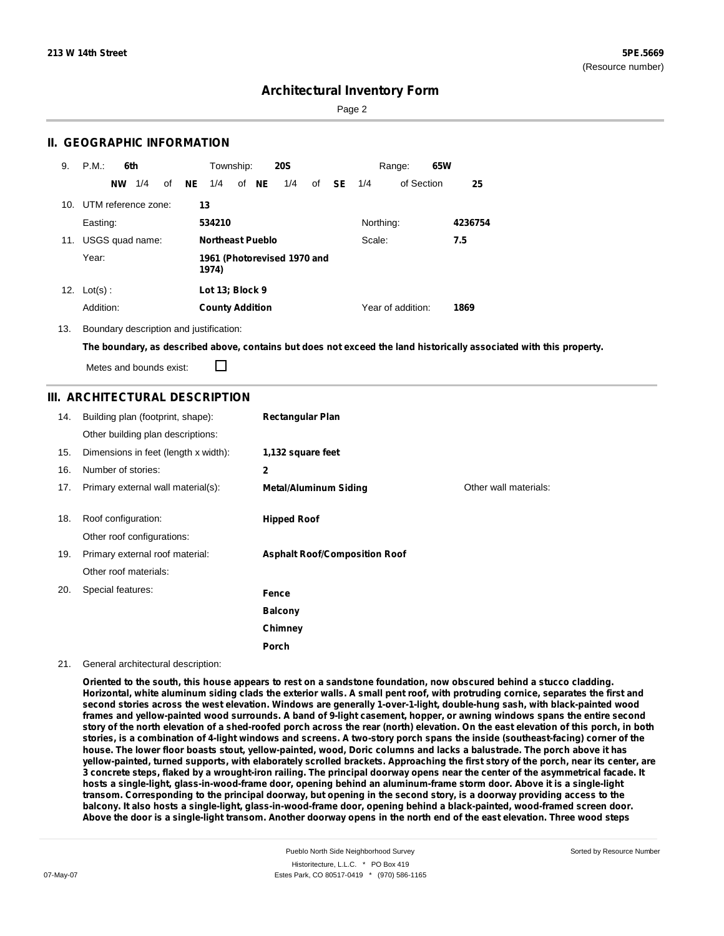Page 2

### **II. GEOGRAPHIC INFORMATION**

| 9.  | P.M.<br>6th            | Township:<br><b>20S</b>              | 65W<br>Range:                  |         |
|-----|------------------------|--------------------------------------|--------------------------------|---------|
|     | 1/4<br>of<br><b>NW</b> | of NE<br>NE.<br>1/4<br>1/4<br>of     | <b>SE</b><br>of Section<br>1/4 | 25      |
| 10. | UTM reference zone:    | 13                                   |                                |         |
|     | Easting:               | 534210                               | Northing:                      | 4236754 |
| 11. | USGS quad name:        | <b>Northeast Pueblo</b>              | Scale:                         | 7.5     |
|     | Year:                  | 1961 (Photorevised 1970 and<br>1974) |                                |         |
| 12. | $Lot(s)$ :             | Lot 13; Block 9                      |                                |         |
|     | Addition:              | <b>County Addition</b>               | Year of addition:              | 1869    |

13. Boundary description and justification:

The boundary, as described above, contains but does not exceed the land historically associated with this property.

П Metes and bounds exist:

### **III. ARCHITECTURAL DESCRIPTION**

| 14. | Building plan (footprint, shape):<br>Other building plan descriptions: | <b>Rectangular Plan</b>              |                       |
|-----|------------------------------------------------------------------------|--------------------------------------|-----------------------|
| 15. | Dimensions in feet (length x width):                                   | 1,132 square feet                    |                       |
| 16. | Number of stories:                                                     | 2                                    |                       |
| 17. | Primary external wall material(s):                                     | <b>Metal/Aluminum Siding</b>         | Other wall materials: |
|     |                                                                        |                                      |                       |
| 18. | Roof configuration:                                                    | <b>Hipped Roof</b>                   |                       |
|     | Other roof configurations:                                             |                                      |                       |
| 19. | Primary external roof material:                                        | <b>Asphalt Roof/Composition Roof</b> |                       |
|     | Other roof materials:                                                  |                                      |                       |
| 20. | Special features:                                                      | Fence                                |                       |
|     |                                                                        | <b>Balcony</b>                       |                       |
|     |                                                                        | Chimney                              |                       |
|     |                                                                        | Porch                                |                       |

#### 21. General architectural description:

Oriented to the south, this house appears to rest on a sandstone foundation, now obscured behind a stucco cladding. Horizontal, white aluminum siding clads the exterior walls. A small pent roof, with protruding cornice, separates the first and second stories across the west elevation. Windows are generally 1-over-1-light, double-hung sash, with black-painted wood frames and yellow-painted wood surrounds. A band of 9-light casement, hopper, or awning windows spans the entire second story of the north elevation of a shed-roofed porch across the rear (north) elevation. On the east elevation of this porch, in both stories, is a combination of 4-light windows and screens. A two-story porch spans the inside (southeast-facing) corner of the house. The lower floor boasts stout, yellow-painted, wood, Doric columns and lacks a balustrade. The porch above it has yellow-painted, turned supports, with elaborately scrolled brackets. Approaching the first story of the porch, near its center, are 3 concrete steps, flaked by a wrought-iron railing. The principal doorway opens near the center of the asymmetrical facade. It hosts a single-light, glass-in-wood-frame door, opening behind an aluminum-frame storm door. Above it is a single-light transom. Corresponding to the principal doorway, but opening in the second story, is a doorway providing access to the balcony. It also hosts a single-light, glass-in-wood-frame door, opening behind a black-painted, wood-framed screen door. Above the door is a single-light transom. Another doorway opens in the north end of the east elevation. Three wood steps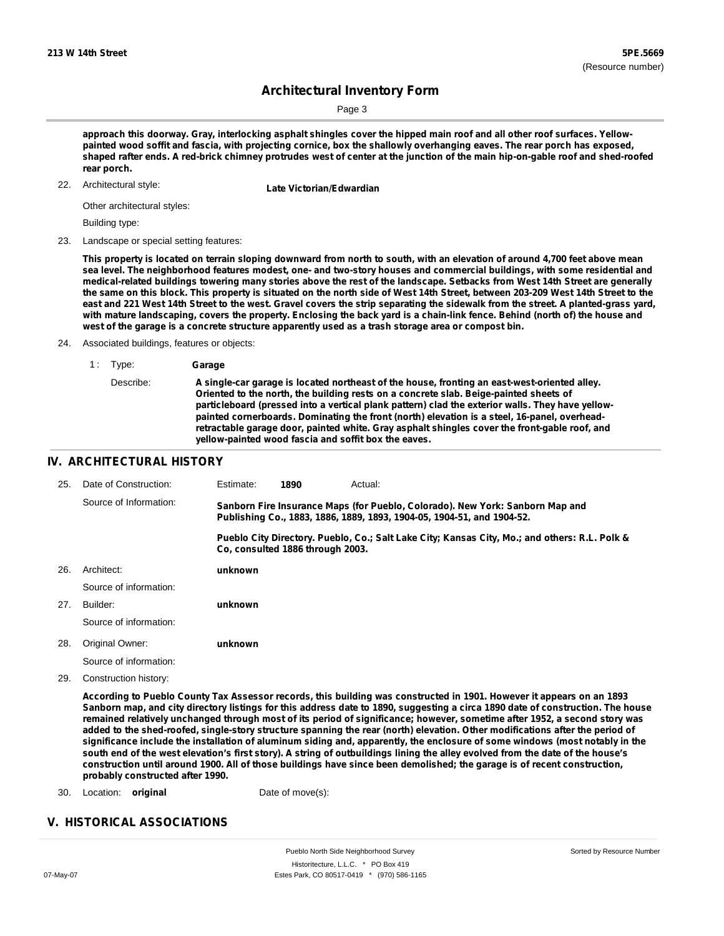Sorted by Resource Number

# **Architectural Inventory Form**

Page 3

approach this doorway. Gray, interlocking asphalt shingles cover the hipped main roof and all other roof surfaces. Yellowpainted wood soffit and fascia, with projecting cornice, box the shallowly overhanging eaves. The rear porch has exposed, shaped rafter ends. A red-brick chimney protrudes west of center at the junction of the main hip-on-gable roof and shed-roofed **rear porch.**

22. Architectural style:

**Late Victorian/Edwardian** 

Other architectural styles:

Building type:

23. Landscape or special setting features:

This property is located on terrain sloping downward from north to south, with an elevation of around 4,700 feet above mean sea level. The neighborhood features modest, one- and two-story houses and commercial buildings, with some residential and medical-related buildings towering many stories above the rest of the landscape. Setbacks from West 14th Street are generally the same on this block. This property is situated on the north side of West 14th Street, between 203-209 West 14th Street to the east and 221 West 14th Street to the west. Gravel covers the strip separating the sidewalk from the street. A planted-grass yard, with mature landscaping, covers the property. Enclosing the back yard is a chain-link fence. Behind (north of) the house and **west of the garage is a concrete structure apparently used as a trash storage area or compost bin.**

24. Associated buildings, features or objects:

1 : Type: **Garage** Describe: **A single-car garage is located northeast of the house, fronting an east-west-oriented alley. Oriented to the north, the building rests on a concrete slab. Beige-painted sheets of particleboard (pressed into a vertical plank pattern) clad the exterior walls. They have yellowpainted cornerboards. Dominating the front (north) elevation is a steel, 16-panel, overheadretractable garage door, painted white. Gray asphalt shingles cover the front-gable roof, and yellow-painted wood fascia and soffit box the eaves.**

#### **IV. ARCHITECTURAL HISTORY**

| 25. | Date of Construction:  | Estimate:                                                                                                                                               | 1890                             | Actual:                                                                                       |
|-----|------------------------|---------------------------------------------------------------------------------------------------------------------------------------------------------|----------------------------------|-----------------------------------------------------------------------------------------------|
|     | Source of Information: | Sanborn Fire Insurance Maps (for Pueblo, Colorado). New York: Sanborn Map and<br>Publishing Co., 1883, 1886, 1889, 1893, 1904-05, 1904-51, and 1904-52. |                                  |                                                                                               |
|     |                        |                                                                                                                                                         | Co. consulted 1886 through 2003. | Pueblo City Directory. Pueblo, Co.; Salt Lake City; Kansas City, Mo.; and others: R.L. Polk & |
| 26. | Architect:             | unknown                                                                                                                                                 |                                  |                                                                                               |
|     | Source of information: |                                                                                                                                                         |                                  |                                                                                               |
| 27. | Builder:               | unknown                                                                                                                                                 |                                  |                                                                                               |
|     | Source of information: |                                                                                                                                                         |                                  |                                                                                               |
| 28. | Original Owner:        | unknown                                                                                                                                                 |                                  |                                                                                               |
|     | Source of information: |                                                                                                                                                         |                                  |                                                                                               |

29. Construction history:

According to Pueblo County Tax Assessor records, this building was constructed in 1901. However it appears on an 1893 Sanborn map, and city directory listings for this address date to 1890, suggesting a circa 1890 date of construction. The house remained relatively unchanged through most of its period of significance; however, sometime after 1952, a second story was added to the shed-roofed, single-story structure spanning the rear (north) elevation. Other modifications after the period of significance include the installation of aluminum siding and, apparently, the enclosure of some windows (most notably in the south end of the west elevation's first story). A string of outbuildings lining the alley evolved from the date of the house's construction until around 1900. All of those buildings have since been demolished; the garage is of recent construction, **probably constructed after 1990.**

- 30. Location: **original** Date of move(s):
	-

### **V. HISTORICAL ASSOCIATIONS**

Pueblo North Side Neighborhood Survey Historitecture, L.L.C. \* PO Box 419 07-May-07 Estes Park, CO 80517-0419 \* (970) 586-1165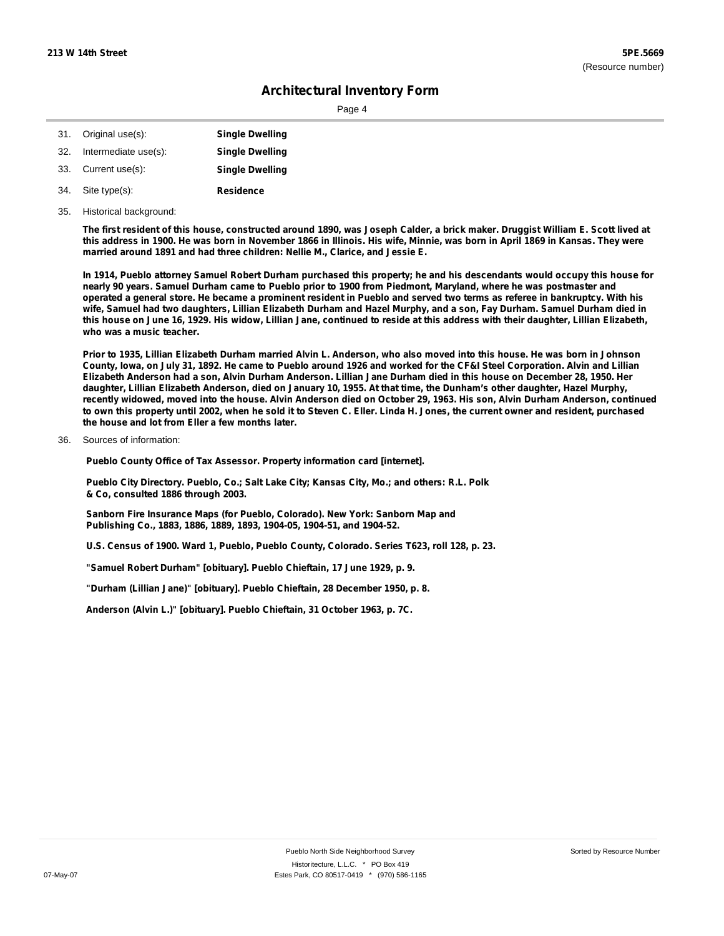Page 4

|                      | <b>Single Dwelling</b>                  |
|----------------------|-----------------------------------------|
| Intermediate use(s): | <b>Single Dwelling</b>                  |
|                      | <b>Single Dwelling</b>                  |
|                      | 31. Original use(s):<br>Current use(s): |

- **Residence** Site type(s): 34.
- 35. Historical background:

The first resident of this house, constructed around 1890, was Joseph Calder, a brick maker. Druggist William E. Scott lived at this address in 1900. He was born in November 1866 in Illinois. His wife, Minnie, was born in April 1869 in Kansas. They were **married around 1891 and had three children: Nellie M., Clarice, and Jessie E.**

In 1914, Pueblo attorney Samuel Robert Durham purchased this property; he and his descendants would occupy this house for nearly 90 years. Samuel Durham came to Pueblo prior to 1900 from Piedmont, Maryland, where he was postmaster and operated a general store. He became a prominent resident in Pueblo and served two terms as referee in bankruptcy. With his wife, Samuel had two daughters, Lillian Elizabeth Durham and Hazel Murphy, and a son, Fay Durham. Samuel Durham died in this house on June 16, 1929. His widow, Lillian Jane, continued to reside at this address with their daughter, Lillian Elizabeth, **who was a music teacher.**

Prior to 1935, Lillian Elizabeth Durham married Alvin L. Anderson, who also moved into this house. He was born in Johnson County, Iowa, on July 31, 1892. He came to Pueblo around 1926 and worked for the CF&I Steel Corporation. Alvin and Lillian Elizabeth Anderson had a son, Alvin Durham Anderson. Lillian Jane Durham died in this house on December 28, 1950. Her daughter, Lillian Elizabeth Anderson, died on January 10, 1955. At that time, the Dunham's other daughter, Hazel Murphy, recently widowed, moved into the house. Alvin Anderson died on October 29, 1963. His son, Alvin Durham Anderson, continued to own this property until 2002, when he sold it to Steven C. Eller. Linda H. Jones, the current owner and resident, purchased **the house and lot from Eller a few months later.**

Sources of information: 36.

**Pueblo County Office of Tax Assessor. Property information card [internet].**

**Pueblo City Directory. Pueblo, Co.; Salt Lake City; Kansas City, Mo.; and others: R.L. Polk & Co, consulted 1886 through 2003.**

**Sanborn Fire Insurance Maps (for Pueblo, Colorado). New York: Sanborn Map and Publishing Co., 1883, 1886, 1889, 1893, 1904-05, 1904-51, and 1904-52.**

**U.S. Census of 1900. Ward 1, Pueblo, Pueblo County, Colorado. Series T623, roll 128, p. 23.**

**"Samuel Robert Durham" [obituary]. Pueblo Chieftain, 17 June 1929, p. 9.**

**"Durham (Lillian Jane)" [obituary]. Pueblo Chieftain, 28 December 1950, p. 8.**

**Anderson (Alvin L.)" [obituary]. Pueblo Chieftain, 31 October 1963, p. 7C.**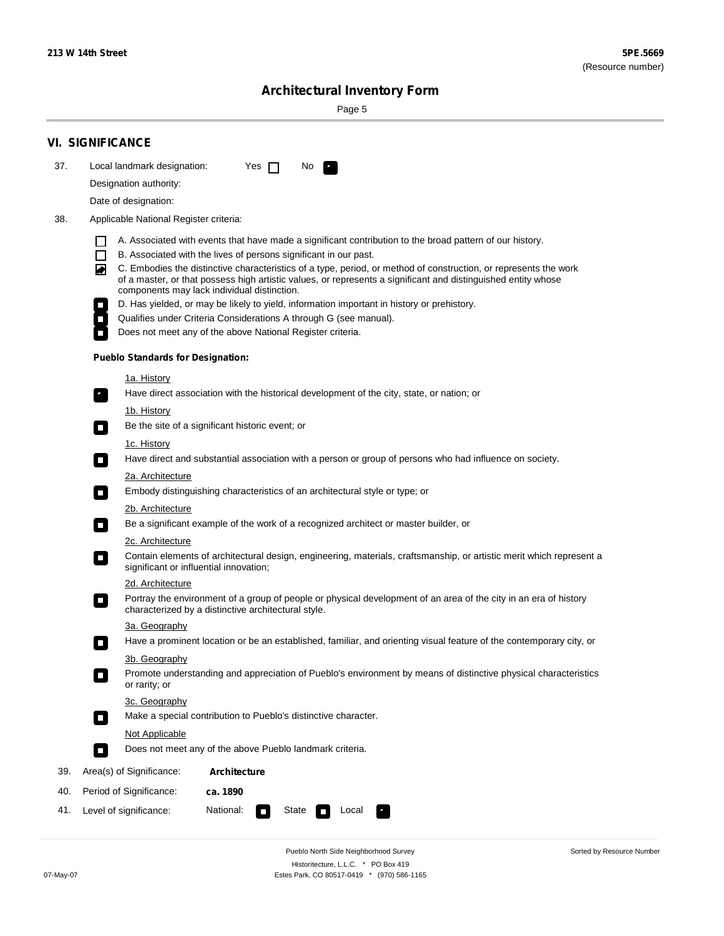÷

Sorted by Resource Number

# **Architectural Inventory Form**

Page 5

|     | <b>VI. SIGNIFICANCE</b>                                                                                                                                                                                                                                                                                                                                                                                                                                                                                                                                                                                                                                                                                                                                                                                                                                                                                                                                                                                                                                                                                                                                                                                                                                                                                                                                                                                                                                                                                                                                                                                                                                                                                                                                                                                                                                                                                                                                                                                                                                                                                                                                                                                                                                                                          |  |  |  |  |
|-----|--------------------------------------------------------------------------------------------------------------------------------------------------------------------------------------------------------------------------------------------------------------------------------------------------------------------------------------------------------------------------------------------------------------------------------------------------------------------------------------------------------------------------------------------------------------------------------------------------------------------------------------------------------------------------------------------------------------------------------------------------------------------------------------------------------------------------------------------------------------------------------------------------------------------------------------------------------------------------------------------------------------------------------------------------------------------------------------------------------------------------------------------------------------------------------------------------------------------------------------------------------------------------------------------------------------------------------------------------------------------------------------------------------------------------------------------------------------------------------------------------------------------------------------------------------------------------------------------------------------------------------------------------------------------------------------------------------------------------------------------------------------------------------------------------------------------------------------------------------------------------------------------------------------------------------------------------------------------------------------------------------------------------------------------------------------------------------------------------------------------------------------------------------------------------------------------------------------------------------------------------------------------------------------------------|--|--|--|--|
| 37. | Local landmark designation:<br>Yes $\Box$<br>No.<br>$\mathbf{r}_\perp$                                                                                                                                                                                                                                                                                                                                                                                                                                                                                                                                                                                                                                                                                                                                                                                                                                                                                                                                                                                                                                                                                                                                                                                                                                                                                                                                                                                                                                                                                                                                                                                                                                                                                                                                                                                                                                                                                                                                                                                                                                                                                                                                                                                                                           |  |  |  |  |
|     | Designation authority:                                                                                                                                                                                                                                                                                                                                                                                                                                                                                                                                                                                                                                                                                                                                                                                                                                                                                                                                                                                                                                                                                                                                                                                                                                                                                                                                                                                                                                                                                                                                                                                                                                                                                                                                                                                                                                                                                                                                                                                                                                                                                                                                                                                                                                                                           |  |  |  |  |
|     | Date of designation:                                                                                                                                                                                                                                                                                                                                                                                                                                                                                                                                                                                                                                                                                                                                                                                                                                                                                                                                                                                                                                                                                                                                                                                                                                                                                                                                                                                                                                                                                                                                                                                                                                                                                                                                                                                                                                                                                                                                                                                                                                                                                                                                                                                                                                                                             |  |  |  |  |
| 38. | Applicable National Register criteria:                                                                                                                                                                                                                                                                                                                                                                                                                                                                                                                                                                                                                                                                                                                                                                                                                                                                                                                                                                                                                                                                                                                                                                                                                                                                                                                                                                                                                                                                                                                                                                                                                                                                                                                                                                                                                                                                                                                                                                                                                                                                                                                                                                                                                                                           |  |  |  |  |
|     | A. Associated with events that have made a significant contribution to the broad pattern of our history.<br>B. Associated with the lives of persons significant in our past.<br>$\mathsf{L}$<br>C. Embodies the distinctive characteristics of a type, period, or method of construction, or represents the work<br>◚<br>of a master, or that possess high artistic values, or represents a significant and distinguished entity whose<br>components may lack individual distinction.<br>D. Has yielded, or may be likely to yield, information important in history or prehistory.<br>Qualifies under Criteria Considerations A through G (see manual).<br>Does not meet any of the above National Register criteria.<br><b>Pueblo Standards for Designation:</b><br><u>1a. History</u><br>Have direct association with the historical development of the city, state, or nation; or<br>$\mathbf{r}_\perp$<br><u>1b. History</u><br>Be the site of a significant historic event; or<br>$\blacksquare$<br>1c. History<br>Have direct and substantial association with a person or group of persons who had influence on society.<br>$\blacksquare$<br>2a. Architecture<br>Embody distinguishing characteristics of an architectural style or type; or<br>$\Box$<br>2b. Architecture<br>Be a significant example of the work of a recognized architect or master builder, or<br>$\mathcal{L}_{\mathcal{A}}$<br>2c. Architecture<br>Contain elements of architectural design, engineering, materials, craftsmanship, or artistic merit which represent a<br>$\mathcal{L}_{\mathcal{A}}$<br>significant or influential innovation;<br>2d. Architecture<br>Portray the environment of a group of people or physical development of an area of the city in an era of history<br>$\mathcal{L}_{\mathcal{A}}$<br>characterized by a distinctive architectural style.<br>3a. Geography<br>Have a prominent location or be an established, familiar, and orienting visual feature of the contemporary city, or<br>П<br>3b. Geography<br>Promote understanding and appreciation of Pueblo's environment by means of distinctive physical characteristics<br>or rarity; or<br>3c. Geography<br>Make a special contribution to Pueblo's distinctive character.<br>$\overline{\phantom{a}}$<br>Not Applicable |  |  |  |  |
|     | Does not meet any of the above Pueblo landmark criteria.<br>$\overline{\phantom{a}}$                                                                                                                                                                                                                                                                                                                                                                                                                                                                                                                                                                                                                                                                                                                                                                                                                                                                                                                                                                                                                                                                                                                                                                                                                                                                                                                                                                                                                                                                                                                                                                                                                                                                                                                                                                                                                                                                                                                                                                                                                                                                                                                                                                                                             |  |  |  |  |
| 39. | Area(s) of Significance:<br><b>Architecture</b>                                                                                                                                                                                                                                                                                                                                                                                                                                                                                                                                                                                                                                                                                                                                                                                                                                                                                                                                                                                                                                                                                                                                                                                                                                                                                                                                                                                                                                                                                                                                                                                                                                                                                                                                                                                                                                                                                                                                                                                                                                                                                                                                                                                                                                                  |  |  |  |  |
| 40. | Period of Significance:<br>ca. 1890                                                                                                                                                                                                                                                                                                                                                                                                                                                                                                                                                                                                                                                                                                                                                                                                                                                                                                                                                                                                                                                                                                                                                                                                                                                                                                                                                                                                                                                                                                                                                                                                                                                                                                                                                                                                                                                                                                                                                                                                                                                                                                                                                                                                                                                              |  |  |  |  |
| 41. | National:<br>Level of significance:<br>State<br>Local                                                                                                                                                                                                                                                                                                                                                                                                                                                                                                                                                                                                                                                                                                                                                                                                                                                                                                                                                                                                                                                                                                                                                                                                                                                                                                                                                                                                                                                                                                                                                                                                                                                                                                                                                                                                                                                                                                                                                                                                                                                                                                                                                                                                                                            |  |  |  |  |
|     |                                                                                                                                                                                                                                                                                                                                                                                                                                                                                                                                                                                                                                                                                                                                                                                                                                                                                                                                                                                                                                                                                                                                                                                                                                                                                                                                                                                                                                                                                                                                                                                                                                                                                                                                                                                                                                                                                                                                                                                                                                                                                                                                                                                                                                                                                                  |  |  |  |  |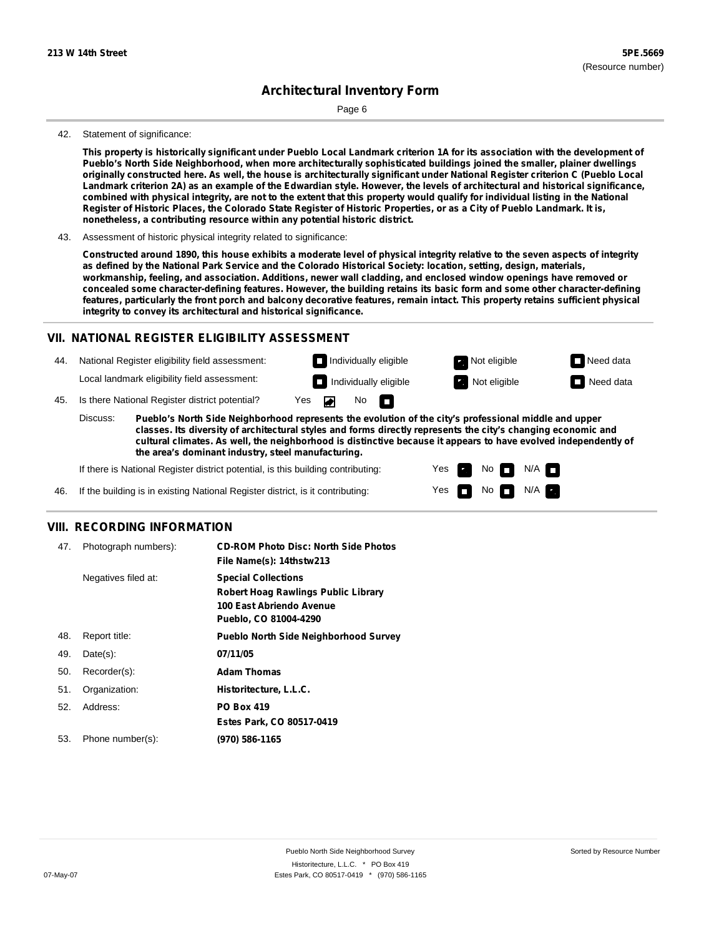Page 6

#### 42. Statement of significance:

This property is historically significant under Pueblo Local Landmark criterion 1A for its association with the development of **Pueblo's North Side Neighborhood, when more architecturally sophisticated buildings joined the smaller, plainer dwellings** originally constructed here. As well, the house is architecturally significant under National Register criterion C (Pueblo Local Landmark criterion 2A) as an example of the Edwardian style. However, the levels of architectural and historical significance, combined with physical integrity, are not to the extent that this property would qualify for individual listing in the National Register of Historic Places, the Colorado State Register of Historic Properties, or as a City of Pueblo Landmark. It is, **nonetheless, a contributing resource within any potential historic district.**

#### 43. Assessment of historic physical integrity related to significance:

Constructed around 1890, this house exhibits a moderate level of physical integrity relative to the seven aspects of integrity as defined by the National Park Service and the Colorado Historical Society: location, setting, design, materials, **workmanship, feeling, and association. Additions, newer wall cladding, and enclosed window openings have removed or** concealed some character-defining features. However, the building retains its basic form and some other character-defining features, particularly the front porch and balcony decorative features, remain intact. This property retains sufficient physical **integrity to convey its architectural and historical significance.**

#### **VII. NATIONAL REGISTER ELIGIBILITY ASSESSMENT**

44. National Register eligibility field assessment: Local landmark eligibility field assessment: **Individually eligible Not eligible** Not eligible **Need data Individually eligible Not eligible** Not eligible **Need data** 

45. Is there National Register district potential? Yes

**Pueblo's North Side Neighborhood represents the evolution of the city's professional middle and upper classes. Its diversity of architectural styles and forms directly represents the city's changing economic and cultural climates. As well, the neighborhood is distinctive because it appears to have evolved independently of the area's dominant industry, steel manufacturing.** Discuss:

No

m

Yes Yes No

 $No$   $M/A$ 

 $N/A$ 

If there is National Register district potential, is this building contributing:

If the building is in existing National Register district, is it contributing: 46.

### **VIII. RECORDING INFORMATION**

| 47. | Photograph numbers): | <b>CD-ROM Photo Disc: North Side Photos</b><br>File Name(s): 14thstw213                                                       |
|-----|----------------------|-------------------------------------------------------------------------------------------------------------------------------|
|     | Negatives filed at:  | <b>Special Collections</b><br><b>Robert Hoag Rawlings Public Library</b><br>100 East Abriendo Avenue<br>Pueblo, CO 81004-4290 |
| 48. | Report title:        | <b>Pueblo North Side Neighborhood Survey</b>                                                                                  |
| 49. | $Date(s)$ :          | 07/11/05                                                                                                                      |
| 50. | Recorder(s):         | <b>Adam Thomas</b>                                                                                                            |
| 51. | Organization:        | Historitecture, L.L.C.                                                                                                        |
| 52. | Address:             | <b>PO Box 419</b>                                                                                                             |
|     |                      | Estes Park, CO 80517-0419                                                                                                     |
| 53. | Phone number(s):     | (970) 586-1165                                                                                                                |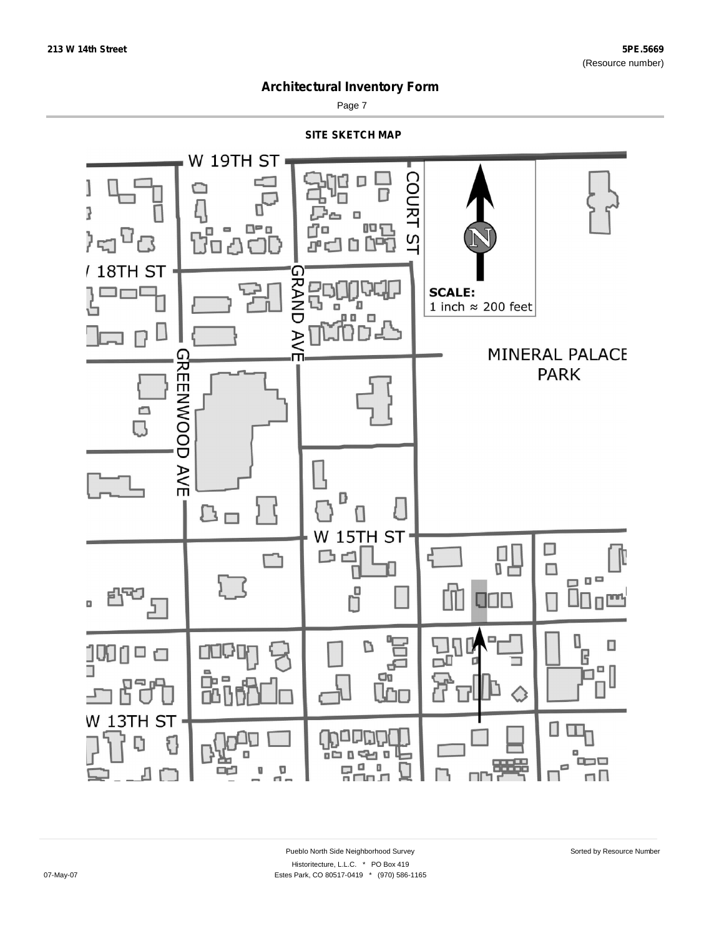

Page 7